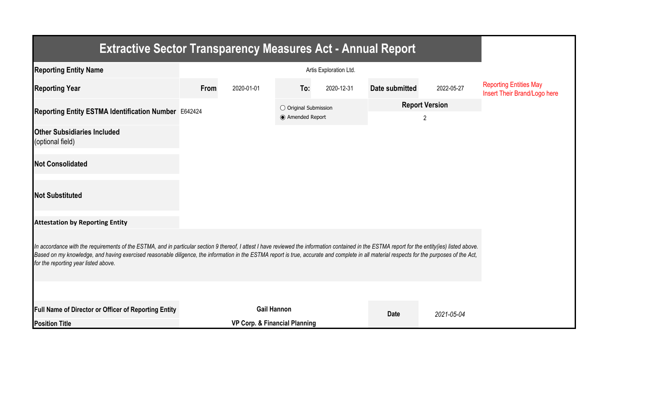| <b>Extractive Sector Transparency Measures Act - Annual Report</b>                                                                                                                                                                                                                                                                                                                                                                    |      |                                          |                                           |            |                            |            |                                                               |  |  |  |
|---------------------------------------------------------------------------------------------------------------------------------------------------------------------------------------------------------------------------------------------------------------------------------------------------------------------------------------------------------------------------------------------------------------------------------------|------|------------------------------------------|-------------------------------------------|------------|----------------------------|------------|---------------------------------------------------------------|--|--|--|
| <b>Reporting Entity Name</b>                                                                                                                                                                                                                                                                                                                                                                                                          |      |                                          |                                           |            |                            |            |                                                               |  |  |  |
| <b>Reporting Year</b>                                                                                                                                                                                                                                                                                                                                                                                                                 | From | 2020-01-01                               | To:                                       | 2020-12-31 | Date submitted             | 2022-05-27 | <b>Reporting Entities May</b><br>Insert Their Brand/Logo here |  |  |  |
| Reporting Entity ESTMA Identification Number E642424                                                                                                                                                                                                                                                                                                                                                                                  |      |                                          | ○ Original Submission<br>◉ Amended Report |            | <b>Report Version</b><br>2 |            |                                                               |  |  |  |
| <b>Other Subsidiaries Included</b><br>(optional field)                                                                                                                                                                                                                                                                                                                                                                                |      |                                          |                                           |            |                            |            |                                                               |  |  |  |
| <b>Not Consolidated</b>                                                                                                                                                                                                                                                                                                                                                                                                               |      |                                          |                                           |            |                            |            |                                                               |  |  |  |
| <b>Not Substituted</b>                                                                                                                                                                                                                                                                                                                                                                                                                |      |                                          |                                           |            |                            |            |                                                               |  |  |  |
| <b>Attestation by Reporting Entity</b>                                                                                                                                                                                                                                                                                                                                                                                                |      |                                          |                                           |            |                            |            |                                                               |  |  |  |
| In accordance with the requirements of the ESTMA, and in particular section 9 thereof, I attest I have reviewed the information contained in the ESTMA report for the entity(ies) listed above.<br>Based on my knowledge, and having exercised reasonable diligence, the information in the ESTMA report is true, accurate and complete in all material respects for the purposes of the Act,<br>for the reporting year listed above. |      |                                          |                                           |            |                            |            |                                                               |  |  |  |
|                                                                                                                                                                                                                                                                                                                                                                                                                                       |      |                                          |                                           |            |                            |            |                                                               |  |  |  |
| Full Name of Director or Officer of Reporting Entity                                                                                                                                                                                                                                                                                                                                                                                  |      | <b>Gail Hannon</b>                       |                                           |            |                            | 2021-05-04 |                                                               |  |  |  |
| <b>Position Title</b>                                                                                                                                                                                                                                                                                                                                                                                                                 |      | <b>VP Corp. &amp; Financial Planning</b> |                                           |            | <b>Date</b>                |            |                                                               |  |  |  |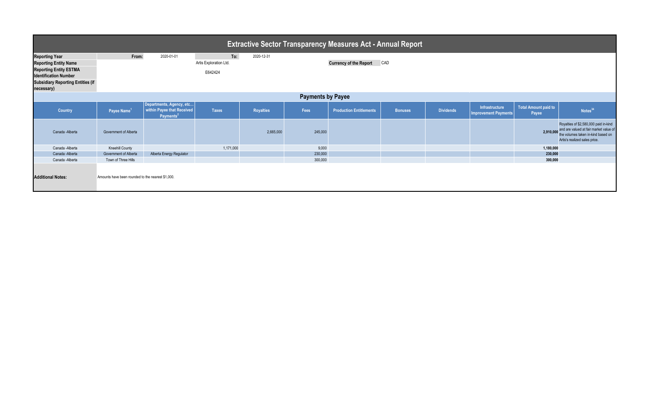| <b>Extractive Sector Transparency Measures Act - Annual Report</b>                                                                                                               |                                                   |                                                                                 |                                          |                  |         |                                |                |                  |                                               |                               |                                                                                                                                                        |  |
|----------------------------------------------------------------------------------------------------------------------------------------------------------------------------------|---------------------------------------------------|---------------------------------------------------------------------------------|------------------------------------------|------------------|---------|--------------------------------|----------------|------------------|-----------------------------------------------|-------------------------------|--------------------------------------------------------------------------------------------------------------------------------------------------------|--|
| <b>Reporting Year</b><br><b>Reporting Entity Name</b><br><b>Reporting Entity ESTMA</b><br><b>Identification Number</b><br><b>Subsidiary Reporting Entities (if</b><br>necessary) | From:                                             | 2020-01-01                                                                      | To:<br>Artis Exploration Ltd.<br>E642424 | 2020-12-31       |         | <b>Currency of the Report</b>  | CAD            |                  |                                               |                               |                                                                                                                                                        |  |
| <b>Payments by Payee</b>                                                                                                                                                         |                                                   |                                                                                 |                                          |                  |         |                                |                |                  |                                               |                               |                                                                                                                                                        |  |
| <b>Country</b>                                                                                                                                                                   | Payee Name <sup>1</sup>                           | Departments, Agency, etc<br>within Payee that Received<br>Payments <sup>2</sup> | <b>Taxes</b>                             | <b>Royalties</b> | Fees    | <b>Production Entitlements</b> | <b>Bonuses</b> | <b>Dividends</b> | Infrastructure<br><b>Improvement Payments</b> | Total Amount paid to<br>Payee | Notes <sup>34</sup>                                                                                                                                    |  |
| Canada - Alberta                                                                                                                                                                 | Government of Alberta                             |                                                                                 |                                          | 2,665,000        | 245,000 |                                |                |                  |                                               | 2,910,000                     | Royalties of \$2,580,000 paid in-kind<br>and are valued at fair market value of<br>the volumes taken in-kind based on<br>Artis's realized sales price. |  |
| Canada - Alberta                                                                                                                                                                 | <b>Kneehill County</b>                            |                                                                                 | 1,171,000                                |                  | 9,000   |                                |                |                  |                                               | 1,180,000                     |                                                                                                                                                        |  |
| Canada - Alberta                                                                                                                                                                 | Government of Alberta                             | Alberta Energy Regulator                                                        |                                          |                  | 230,000 |                                |                |                  |                                               | 230,000                       |                                                                                                                                                        |  |
| Canada - Alberta                                                                                                                                                                 | Town of Three Hills                               |                                                                                 |                                          |                  | 300,000 |                                |                |                  |                                               | 300,000                       |                                                                                                                                                        |  |
| <b>Additional Notes:</b>                                                                                                                                                         | Amounts have been rounded to the nearest \$1,000. |                                                                                 |                                          |                  |         |                                |                |                  |                                               |                               |                                                                                                                                                        |  |